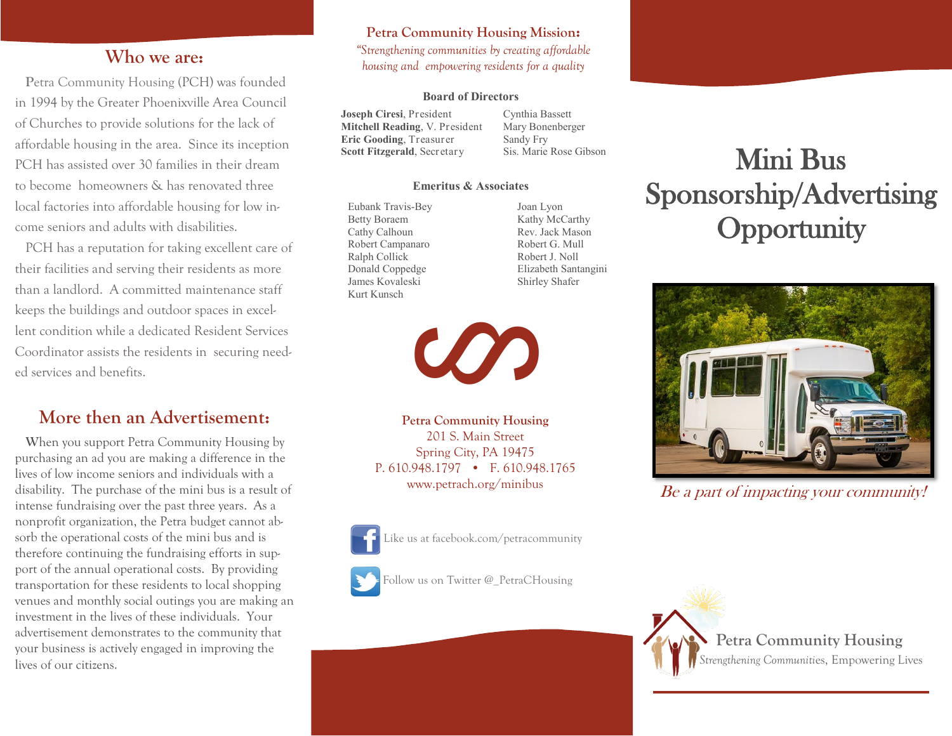### **Who we are:**

 **P**etra Community Housing (PCH) was founded in 1994 by the Greater Phoenixville Area Council of Churches to provide solutions for the lack of affordable housing in the area. Since its inception PCH has assisted over 30 families in their dream to become homeowners & has renovated three local factories into affordable housing for low income seniors and adults with disabilities.

 PCH has a reputation for taking excellent care of their facilities and serving their residents as more than a landlord. A committed maintenance staff keeps the buildings and outdoor spaces in excellent condition while a dedicated Resident Services Coordinator assists the residents in securing needed services and benefits.

## **More then an Advertisement:**

 **W**hen you support Petra Community Housing by purchasing an ad you are making a difference in the lives of low income seniors and individuals with a disability. The purchase of the mini bus is a result of intense fundraising over the past three years. As a nonprofit organization, the Petra budget cannot absorb the operational costs of the mini bus and is therefore continuing the fundraising efforts in support of the annual operational costs. By providing transportation for these residents to local shopping venues and monthly social outings you are making an investment in the lives of these individuals. Your advertisement demonstrates to the community that your business is actively engaged in improving the lives of our citizens.

### **Petra Community Housing Mission:** *"Strengthening communities by creating affordable housing and empowering residents for a quality*

#### **Board of Directors**

**Joseph Ciresi**, President **Mitchell Reading**, V. President **Eric Gooding**, Treasurer **Scott Fitzgerald**, Secretary

Cynthia Bassett Mary Bonenberger Sandy Fry Sis. Marie Rose Gibson

#### **Emeritus & Associates**

Eubank Travis-Bey Betty Boraem Cathy Calhoun Robert Campanaro Ralph Collick Donald Coppedge James Kovaleski Kurt Kunsch

Joan Lyon Kathy McCarthy Rev. Jack Mason Robert G. Mull Robert J. Noll Elizabeth Santangini Shirley Shafer



**Petra Community Housing** 201 S. Main Street Spring City, PA 19475 P. 610.948.1797 • F. 610.948.1765 www.petrach.org/minibus



Like us at facebook.com/petracommunity



Follow us on Twitter @\_PetraCHousing

## Mini Bus Sponsorship/Advertising **Opportunity**



Be a part of impacting your community!